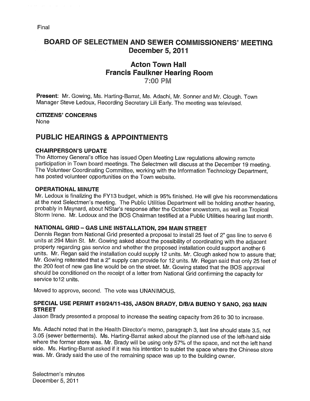# BOARD OF SELECTMEN AND SEWER COMMISSIONERS' MEETING December 5, 2011

# Acton Town Hall Francis Faulkner Hearing Room 7:00 PM

Present: Mr. Gowing, Ms. Harting-Barrat, Ms. Adachi, Mr. Sonner and Mr. Clough. Town Manager Steve Ledoux, Recording Secretary Liii Early. The meeting was televised.

### **CITIZENS' CONCERNS**

None

# PUBLIC HEARINGS & APPOINTMENTS

#### CHAIRPERSON'S UPDATE

The Attorney General's office has issued Open Meeting Law regulations allowing remote participation in Town board meetings. The Selectmen will discuss at the December <sup>19</sup> meeting. The Volunteer Coordinating Committee, working with the Information Technology Department, has posted volunteer opportunities on the Town website.

#### OPERATIONAL MINUTE

Mr. Ledoux is finalizing the FY13 budget, which is 95% finished. He will <sup>g</sup>ive his recommendations at the next Selectmen's meeting. The Public Utilities Department will be holding another hearing, probably in Maynard, about NStar's response after the October snowstorm, as well as Tropical Storm Irene. Mr. Ledoux and the BOS Chairman testified at <sup>a</sup> Public Utilities hearing last month.

### NATIONAL GRID — GAS LINE INSTALLATION, 294 MAIN STREET

Dennis Regan from National Grid presented <sup>a</sup> proposal to install <sup>25</sup> feet of 2" gas line to serve <sup>6</sup> units at <sup>294</sup> Main St. Mr. Gowing asked about the possibility of coordinating with the adjacent property regarding gas service and whether the proposed installation could support another <sup>6</sup> units. Mr. Regan said the installation could supply <sup>12</sup> units. Mr. Clough asked how to assure that; Mr. Gowing reiterated that a 2" supply can provide for 12 units. Mr. Regan said that only 25 feet of the <sup>200</sup> feet of new gas line would be on the street. Mr. Gowing stated that the BOS approval should be conditioned on the receipt of <sup>a</sup> letter from National Grid confirming the capacity for service to 12 units.

Moved to approve, second. The vote was UNANIMOUS.

### SPECIAL USE PERMIT #10/24/11-435, JASON BRADY, D/B/A BUENO <sup>V</sup> SANO, <sup>263</sup> MAIN **STREET**

Jason Brady presented <sup>a</sup> proposal to increase the seating capacity from <sup>26</sup> to <sup>30</sup> to increase.

Ms. Adachi noted that in the Health Director's memo, paragraph 3, last line should state 3.5, not 3.05 (sewer betterments). Ms. Harting-Barrat asked about the <sup>p</sup>lanned use of the left-hand side where the former store was. Mr. Brady will be using only 57% of the space, and not the left hand side. Ms. Harting-Barrat asked if it was his intention to sublet the space where the Chinese store was. Mr. Grady said the use of the remaining space was up to the building owner.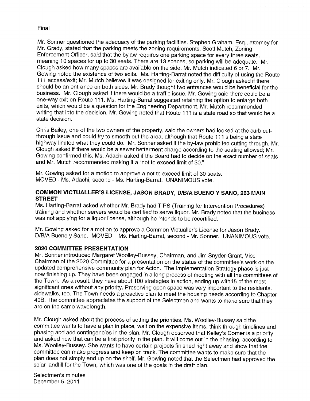Mr. Sonner questioned the adequacy of the parking facilities. Stephen Graham, Esq., attorney for Mr. Grady, stated that the parking meets the zoning requirements. Scott Mutch, Zoning Enforcement Officer, said that the bylaw requires one parking space for every three seats, meaning 10 spaces for up to 30 seats. There are 13 spaces, so parking will be adequate. Mr. Clough asked how many spaces are available on the side. Mr. Mutch indicated 6 or 7. Mr. Gowing noted the existence of two exits. Ms. Harting-Barrat noted the difficulty of using the Route 111 access/exit; Mr. Mutch believes it was designed for exiting only. Mr. Clough asked if there should be an entrance on both sides. Mr. Brady thought two entrances would be beneficial for the business. Mr. Clough asked if there would be a traffic issue. Mr. Gowing said there could be a one-way exit on Route 111. Ms. Harting-Barrat suggested retaining the option to enlarge both exits, which would be a question for the Engineering Department. Mr. Mutch recommended writing that into the decision. Mr. Gowing noted that Route 111 is a state road so that would be a state decision.

Chris Bailey, one of the two owners of the property, said the owners had looked at the curb cutthrough issue and could try to smooth out the area, although that Route 111's being a state highway limited what they could do. Mr. Sonner asked if the by-law prohibited cutting through. Mr. Clough asked if there would be a sewer betterment charge according to the seating allowed; Mr. Gowing confirmed this. Ms. Adachi asked if the Board had to decide on the exact number of seats and Mr. Mutch recommended making it a "not to exceed limit of 30."

Mr. Gowing asked for a motion to approve a not to exceed limit of 30 seats. MOVED - Ms. Adachi, second - Ms. Harting-Barrat. UNANIMOUS vote.

#### COMMON VICTUALLER'S LICENSE, JASON BRADY, DIBIA BUENO <sup>V</sup> SANO, 263 MAIN STREET

Ms. Harting-Barrat asked whether Mr. Brady had TIPS (Training for Intervention Procedures) training and whether servers would be certified to serve liquor. Mr. Brady noted that the business was not applying for a liquor license, although he intends to be recertified.

Mr. Gowing asked for a motion to approve a Common Victualler's License for Jason Brady. D/B/A Bueno y Sano. MOVED — Ms. Harting-Barrat, second - Mr. Sonner. UNANIMOUS vote.

#### 2020 COMMITTEE PRESENTATION

Mr. Sonner introduced Margaret Woolley-Bussey, Chairman, and Jim Snyder-Grant, Vice Chairman of the 2020 Committee for a presentation on the status of the committee's work on the updated comprehensive community plan for Acton. The Implementation Strategy phase is just now finishing up. They have been engaged in a long process of meeting with all the committees of the Town. As a result, they have about 100 strategies in action, ending up with 15 of the most significant ones without any priority. Preserving open space was very important to the residents. sidewalks, too. The Town needs a proactive plan to meet the housing needs according to Chapter 40B. The committee appreciates the support of the Selectmen and wants to make sure that they are on the same wavelength.

Mr. dough asked about the process of setting the priorities. Ms. Woolley-Bussey said the committee wants to have a plan in place, wait on the expensive items, think through timelines and phasing and add contingencies in the plan. Mr. Clough observed that Kelley's Corner is a priority and asked how that can be a first priority in the plan. It will come out in the phasing, according to Ms. Woolley-Bussey. She wants to have certain projects finished right away and show that the committee can make progress and keep on track. The committee wants to make sure that the plan does not simply end up on the shelf. Mr. Gowing noted that the Selectmen had approved the solar landfill for the Town, which was one of the goals in the draft plan.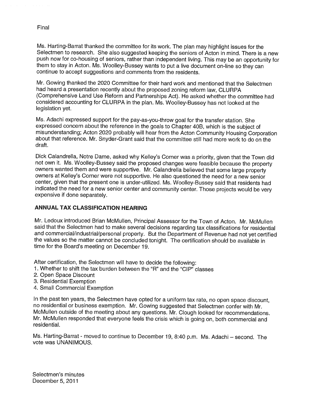Ms. Harting-Barrat thanked the committee for its work. The <sup>p</sup>lan may highlight issues for the Selectmen to research. She also suggested keeping the seniors of Acton in mind. There is <sup>a</sup> new push now for co-housing of seniors, rather than independent living. This may be an opportunity for them to stay in Acton. Ms. Woolley-Bussey wants to put <sup>a</sup> live document on-line so they can continue to accept suggestions and comments from the residents.

Mr. Gowing thanked the 2020 Committee for their hard work and mentioned that the Selectmen had heard <sup>a</sup> presentation recently about the proposed zoning reform law, CLURPA (Comprehensive Land Use Reform and Partnerships Act). He asked whether the committee had considered accounting for CLURPA in the <sup>p</sup>lan. Ms. Woolley-Bussey has not looked at the legislation yet.

Ms. Adachi expressed support for the pay-as-you-throw goa<sup>l</sup> for the transfer station. She expressed concern about the reference in the goals to Chapter 40B, which is the subject of misunderstanding; Acton <sup>2020</sup> probably will hear from the Acton Community Housing Corporation about that reference. Mr. Snyder-Grant said that the committee still had more work to do on the draft.

Dick Calandrella, Notre Dame, asked why Kelley's Corner was <sup>a</sup> priority, <sup>g</sup>iven that the Town did not own it. Ms. Woolley-Bussey said the proposed changes were feasible because the property owners wanted them and were supportive. Mr. Calandrella believed that some large property owners at Kelley's Corner were not supportive. He also questioned the need for <sup>a</sup> new senior center, <sup>g</sup>iven that the present one is under-utilized. Ms. Woolley-Bussey said that residents had indicated the need for <sup>a</sup> new senior center and community center. Those projects would be very expensive if done separately.

# ANNUAL TAX CLASSIFICATION HEARING

Mr. Ledoux introduced Brian McMullen, Principal Assessor for the Town of Acton. Mr. McMullen said that the Selectmen had to make several decisions regarding tax classifications for residential and commercial/industrial/personal property. But the Department of Revenue had not yet certified the values so the matter cannot be concluded tonight. The certification should be available in time for the Board's meeting on December 19.

After certification, the Selectmen will have to decide the following:

- 1. Whether to shift the tax burden between the "R" and the "CIP" classes
- 2. Open Space Discount
- 3. Residential Exemption
- 4. Small Commercial Exemption

In the past ten years, the Selectmen have opted for <sup>a</sup> uniform tax rate, no open space discount, no residential or business exemption. Mr. Gowing suggested that Selectmen confer with Mr. McMullen outside of the meeting about any questions. Mr. Clough looked for recommendations. Mr. McMullen responded that everyone feels the crisis which is going on, both commercial and residential.

Ms. Harting-Barrat -moved to continue to December 19, 8:40 p.m. Ms. Adachi — second. The vote was UNANIMOUS.

Final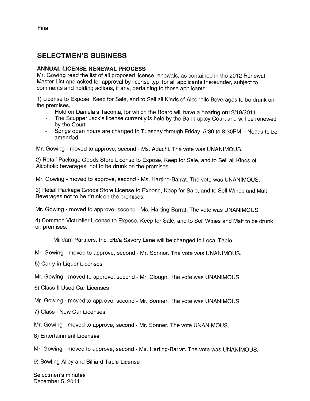# SELECTMEN'S BUSINESS

### ANNUAL LICENSE RENEWAL PROCESS

Mr. Gowing read the list of all proposed license renewals, as contained in the 2012 Renewal Master List and asked for approval by license typ for all applicants thereunder, subject to comments and holding actions, if any, pertaining to those applicants:

1) License to Expose, Keep for Sale, and to Sell all Kinds of Alcoholic Beverages to be drunk on the premises.

- Hold on Daniela's Tacorita, for which the Board will have a hearing on12/19/2011
- The Scupper Jack's license currently is held by the Bankruptcy Court and will be renewed by the Court
- Sprigs open hours are changed to Tuesday through Friday, 5:30 to 8:30PM Needs to be amended

Mr. Gowing - moved to approve, second - Ms. Adachi. The vote was UNANIMOUS.

2) Retail Package Goods Store License to Expose, Keep for Sale, and to Sell all Kinds of Alcoholic beverages, not to be drunk on the premises.

Mr. Gowing - moved to approve, second - Ms. Harting-Barrat. The vote was UNANIMOUS.

3) Retail Package Goods Store License to Expose, Keep for Sale, and to Sell Wines and Malt Beverages not to be drunk on the premises.

Mr. Gowing -moved to approve, second - Ms. Harting-Barrat. The vote was UNANIMOUS.

4) Common Victualler License to Expose, Keep for Sale, and to Sell Wines and Malt to be drunk on premises.

Milldam Partners. Inc. d/b/a Savory Lane will be changed to Local Table

Mr. Gowing - moved to approve, second - Mr. Sonner. The vote was UNANIMOUS.

5) Carry-in Liquor Licenses

Mr. Gowing - moved to approve, second - Mr. Clough. The vote was UNANIMOUS.

6) Class II Used Car Licenses

Mr. Gowing - moved to approve, second - Mr. Sonner. The vote was UNANIMOUS.

7) Class <sup>I</sup> New Car Licenses

Mr. Gowing - moved to approve, second - Mr. Sonner. The vote UNANIMOUS.

8) Entertainment Licenses

Mr. Gowing - moved to approve, second - Ms. Harting-Barrat. The vote was UNANIMOUS.

9) Bowling Alley and Billiard Table License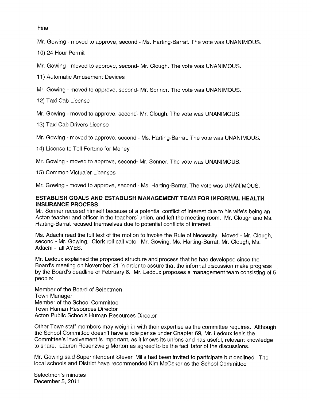Mr. Gowing - moved to approve, second - Ms. Harting-Barrat. The vote was UNANIMOUS.

10) 24 Hour Permit

Mr. Gowing - moved to approve, second- Mr. Clough. The vote was UNANIMOUS.

11) Automatic Amusement Devices

Mr. Gowing - moved to approve, second- Mr. Sonner. The vote was UNANIMOUS.

12) Taxi Cab License

Mr. Gowing - moved to approve, second- Mr. Clough. The vote was UNANIMOUS.

13) Taxi Cab Drivers License

Mr. Gowing -moved to approve, second - Ms. Harting-Barrat. The vote was UNANIMOUS.

14) License to Tell Fortune for Money

Mr. Gowing - moved to approve, second- Mr. Sonner. The vote was UNANIMOUS.

15) Common Victualer Licenses

Mr. Gowing -moved to approve, second - Ms. Harting-Barrat. The vote was UNANIMOUS.

#### ESTABLISH GOALS AND ESTABLISH MANAGEMENT TEAM FOR INFORMAL HEALTH INSURANCE PROCESS

Mr. Sonner recused himself because of a potential conflict of interest due to his wife's being an Acton teacher and officer in the teachers' union, and left the meeting room. Mr. Clough and Ms. Harting-Barrat recused themselves due to potential conflicts of interest.

Ms. Adachi read the full text of the motion to invoke the Rule of Necessity. Moved - Mr. Clough, second - Mr. Gowing. Clerk roll call vote: Mr. Gowing, Ms. Harting-Barrat, Mr. Clough, Ms. Adachi — all AYES.

Mr. Ledoux explained the proposed structure and process that he had developed since the Board's meeting on November 21 in order to assure that the informal discussion make progress by the Board's deadline of February 6. Mr. Ledoux proposes a management team consisting of 5 people:

Member of the Board of Selectmen Town Manager Member of the School Committee Town Human Resources Director Acton Public Schools Human Resources Director

Other Town staff members may weigh in with their expertise as the committee requires. Although the School Committee doesn't have a role per se under Chapter 69, Mr. Ledoux feels the Committee's involvement is important, as it knows its unions and has useful, relevant knowledge to share. Lauren Rosenzweig Morton as agreed to be the facilitator of the discussions.

Mr. Gowing said Superintendent Steven Mills had been invited to participate but declined. The local schools and District have recommended Kim McOsker as the School Committee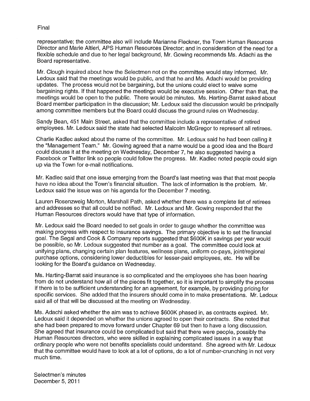representative; the committee also will include Marianne Fleckner, the Town Human Resources Director and Marie Altieri, APS Human Resources Director; and in consideration of the need for a flexible schedule and due to her legal background, Mr. Gowing recommends Ms. Adachi as the Board representative.

Mr. Clough inquired about how the Selectmen not on the committee would stay informed. Mr. Ledoux said that the meetings would be public, and that he and Ms. Adachi would be providing updates. The process would not be bargaining, but the unions could elect to waive some bargaining rights. If that happened the meetings would be executive session. Other than that, the meetings would be open to the public. There would be minutes. Ms. Harting-Barrat asked about Board member participation in the discussion; Mr. Ledoux said the discussion would be principally among committee members but the Board could discuss the ground rules on Wednesday.

Sandy Bean, 451 Main Street, asked that the committee include a representative of retired employees. Mr. Ledoux said the state had selected Malcolm McGregor to represent all retirees.

Charlie Kadlec asked about the name of the committee. Mr. Ledoux said he had been calling it the "Management Team." Mr. Gowing agreed that a name would be a good idea and the Board could discuss it at the meeting on Wednesday, December 7, he also suggested having a Facebook or Twitter link so people could follow the progress. Mr. Kadlec noted people could sign up via the Town for e-mail notifications.

Mr. Kadlec said that one issue emerging from the Board's last meeting was that that most people have no idea about the Town's financial situation. The lack of information is the problem. Mr. Ledoux said the issue was on his agenda for the December 7 meeting.

Lauren Rosenzweig Morton, Marshall Path, asked whether there was a complete list of retirees and addresses so that all could be notified. Mr. Ledoux and Mr. Gowing responded that the Human Resources directors would have that type of information.

Mr. Ledoux said the Board needed to set goals in order to gauge whether the committee was making progress with respect to insurance savings. The primary objective is to set the financial goal. The Segal and Cook & Company reports suggested that \$600K in savings per year would be possible, so Mr. Ledoux suggested that number as a goal. The committee could look at unifying plans, changing certain plan features, wellness plans, uniform co-pays, joint/regional purchase options, considering lower deductibles for lesser-paid employees, etc. He will be looking for the Board's guidance on Wednesday.

Ms. Harting-Barrat said insurance is so complicated and the employees she has been hearing from do not understand how all of the pieces fit together, so it is important to simplify the process if there is to be sufficient understanding for an agreement, for example, by providing pricing for specific services. She added that the insurers should come in to make presentations. Mr. Ledoux said all of that will be discussed at the meeting on Wednesday.

Ms. Adachi asked whether the aim was to achieve \$600K phased in, as contracts expired. Mr. Ledoux said it depended on whether the unions agreed to open their contracts. She noted that she had been prepared to move forward under Chapter 69 but then to have a long discussion. She agreed that insurance could be complicated but said that there were people, possibly the Human Resources directors, who were skilled in explaining complicated issues in a way that ordinary people who were not benefits specialists could understand. She agreed with Mr. Ledoux that the committee would have to look at a lot of options, do a lot of number-crunching in not very much time.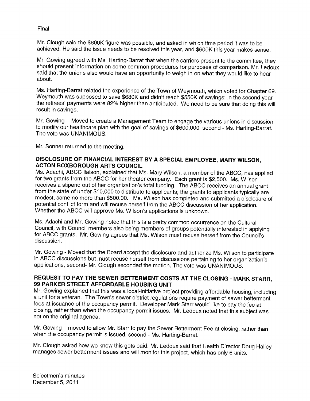Mr. Clough said the \$600K figure was possible, and asked in which time period it was to be achieved. He said the issue needs to be resolved this year, and \$600K this year makes sense.

Mr. Gowing agreed with Ms. Harting-Barrat that when the carriers present to the committee, they should present information on some common procedures for purposes of comparison. Mr. Ledoux said that the unions also would have an opportunity to weigh in on what they would like to hear about.

Ms. Harting-Barrat related the experience of the Town of Weymouth, which voted for Chapter 69. Weymouth was supposed to save \$680K and didn't reach \$550K of savings; in the second year the retirees' payments were 82% higher than anticipated. We need to be sure that doing this will result in savings.

Mr. Gowing - Moved to create <sup>a</sup> Management Team to engage the various unions in discussion to modify our healthcare <sup>p</sup>lan with the goa<sup>l</sup> of savings of \$600,000 second - Ms. Harting-Barrat. The vote was UNANIMOUS.

Mr. Sonner returned to the meeting.

#### DISCLOSURE OF FINANCIAL INTEREST BY <sup>A</sup> SPECIAL EMPLOYEE, MARY WILSON, ACTON BOXBOROUGH ARTS COUNCIL

Ms. Adachi, ABCC liaison, explained that Ms. Mary Wilson, <sup>a</sup> member of the ABCC, has applied for two grants from the ABCC for her theater company. Each grant is \$2,500. Ms. Wilson receives <sup>a</sup> stipend out of her organization's total funding. The ABCC receives an annual grant from the state of under \$10,000 to distribute to applicants; the grants to applicants typically are modest, some no more than \$500.00. Ms. Wilson has completed and submitted a disclosure of potential conflict form and will recuse herself from the ABCC discussion of her application. Whether the ABCC will approve Ms. Wilson's applications is unknown.

Ms. Adachi and Mr. Gowing noted that this is <sup>a</sup> pretty common occurrence on the Cultural Council, with Council members also being members of groups potentially interested in applying for ABCC grants. Mr. Gowing agrees that Ms. Wilson must recuse herself from the Council's discussion.

Mr. Gowing - Moved that the Board accept the disclosure and authorize Ms. Wilson to participate in ABCC discussions but must recuse herself from discussions pertaining to her organization's applications, second- Mr. Clough seconded the motion. The vote was UNANIMOUS.

# REQUEST TO PAY THE SEWER BETTERMENT COSTS AT THE CLOSING - MARK STARR, 99 PARKER STREET AFFORDABLE HOUSING UNIT

Mr. Gowing explained that this was <sup>a</sup> local-initiative project providing affordable housing, including <sup>a</sup> unit for <sup>a</sup> veteran. The Town's sewer district regulations require payment of sewer betterment fees at issuance of the occupancy permit. Developer Mark Starr would like to pay the fee at closing, rather than when the occupancy permit issues. Mr. Ledoux noted that this subject was not on the original agenda.

Mr. Gowing — moved to allow Mr. Starr to pay the Sewer Betterment Fee at closing, rather than when the occupancy permit is issued, second - Ms. Harting-Barrat.

Mr. Clough asked how we know this gets paid. Mr. Ledoux said that Health Director Doug Halley manages sewer betterment issues and will monitor this project, which has only <sup>6</sup> units.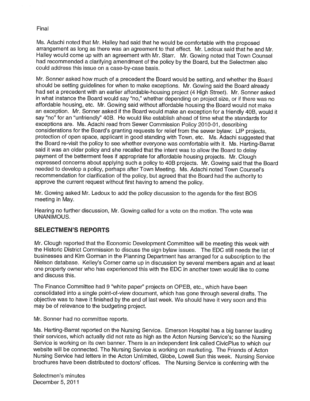Ms. Adachi noted that Mr. Halley had said that he would be comfortable with the proposed arrangement as long as there was an agreement to that effect. Mr. Ledoux said that he and Mr. Halley would come up with an agreement with Mr. Starr. Mr. Gowing noted that Town Counsel had recommended a clarifying amendment of the policy by the Board, but the Selectmen also could address this issue on a case-by-case basis.

Mr. Sonner asked how much of a precedent the Board would be setting, and whether the Board should be setting guidelines for when to make exceptions. Mr. Gowing said the Board already had set a precedent with an earlier affordable-housing project (4 High Street). Mr. Sonner asked in what instance the Board would say "no," whether depending on project size, or if there was no affordable housing, etc. Mr. Gowing said without affordable housing the Board would not make an exception. Mr. Sonner asked if the Board would make an exception for a friendly 40B, would it say "no" for an "unfriendly" 40B. He would like establish ahead of time what the standards for exceptions are. Ms. Adachi read from Sewer Commission Policy 2010-01, describing considerations for the Board's granting requests for relief from the sewer bylaw: LIP projects, protection of open space, applicant in good standing with Town, etc. Ms. Adachi suggested that the Board re-visit the policy to see whether everyone was comfortable with it. Ms. Harting-Barrat said it was an older policy and she recalled that the intent was to allow the Board to delay payment of the betterment fees if appropriate for affordable housing projects. Mr. Clough expressed concerns about applying such a policy to 40B projects. Mr. Gowing said that the Board needed to develop a policy, perhaps after Town Meeting. Ms. Adachi noted Town Counsel's recommendation for clarification of the policy, but agreed that the Board had the authority to approve the current request without first having to amend the policy.

Mr. Gowing asked Mr. Ledoux to add the policy discussion to the agenda for the first BOS meeting in May.

Hearing no further discussion, Mr. Gowing called for a vote on the motion. The vote was UNANIMOUS.

# SELECTMEN'S REPORTS

Mr. Clough reported that the Economic Development Committee will be meeting this week with the Historic District Commission to discuss the sign bylaw issues. The EDO still needs the list of businesses and Kim Gorman in the Planning Department has arranged for a subscription to the Nielson database. Kelley's Corner came up in discussion by several members again and at least one property owner who has experienced this with the EDC in another town would like to come and discuss this.

The Finance Committee had 9 "white paper" projects on OPEB, etc., which have been consolidated into a single point-of-view document, which has gone through several drafts. The objective was to have it finished by the end of last week. We should have it very soon and this may be of relevance to the budgeting project.

Mr. Sonner had no committee reports.

Ms. Harting-Barrat reported on the Nursing Service. Emerson Hospital has a big banner lauding their services, which actually did not rate as high as the Acton Nursing Service's; so the Nursing Service is working on its own banner. There is an independent link called CivicPlus to which our website will be connected. The Nursing Service is working on marketing. The Friends of Acton Nursing Service had letters in the Acton Unlimited, Globe, Lowell Sun this week. Nursing Service brochures have been distributed to doctors' offices. The Nursing Service is conferring with the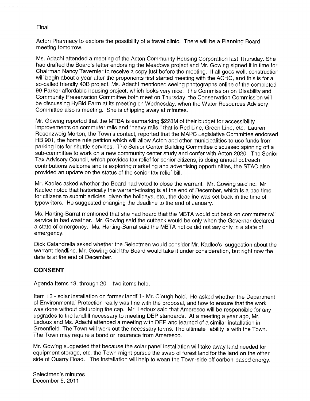Acton Pharmacy to explore the possibility of a travel clinic. There will be a Planning Board meeting tomorrow.

Ms. Adachi attended a meeting of the Acton Community Housing Corporation last Thursday. She had drafted the Board's letter endorsing the Meadows project and Mr. Gowing signed it in time for Chairman Nancy Tavernier to receive a copy just before the meeting. If all goes well, construction will begin about a year after the proponents first started meeting with the ACHC, and this is for a so-called friendly 40B project. Ms. Adachi mentioned seeing photographs online of the completed 99 Parker affordable housing project, which looks very nice. The Commission on Disability and Community Preservation Committee both meet on Thursday; the Conservation Commission will be discussing HyBid Farm at its meeting on Wednesday, when the Water Resources Advisory Committee also is meeting. She is chipping away at minutes.

Mr. Gowing reported that the MTBA is earmarking \$228M of their budget for accessibility improvements on commuter rails and "heavy rails," that is Red Line, Green Line, etc. Lauren Rosenzweig Morton, the Town's contact, reported that the MAPC Legislative Committee endorsed HB 901, the home rule petition which will allow Acton and other municipalities to use funds from parking lots for shuttle services. The Senior Center Building Committee discussed spinning off a sub-committee to work on a new community center study and confer with Acton 2020. The Senior Tax Advisory Council, which provides tax relief for senior citizens, is doing annual outreach contributions welcome and is exploring marketing and advertising opportunities, the STAC also provided an update on the status of the senior tax relief bill.

Mr. Kadlec asked whether the Board had voted to close the warrant. Mr. Gowing said no. Mr. Kadlec noted that historically the warrant-closing is at the end of December, which is a bad time for citizens to submit articles, given the holidays, etc., the deadline was set back in the time of typewriters. He suggested changing the deadline to the end of January.

Ms. Harting-Barrat mentioned that she had heard that the MBTA would cut back on commuter rail service in bad weather. Mr. Gowing said the cutback would be only when the Governor declared a state of emergency. Ms. Harting-Barrat said the MBTA notice did not say only in a state of emergency.

Dick Calandrella asked whether the Selectmen would consider Mr. Kadlec's suggestion about the warrant deadline. Mr. Gowing said the Board would take it under consideration, but right now the date is at the end of December.

### CONSENT

Agenda Items 13. through 20 — two items held.

Item 13 - solar installation on former landfill - Mr. Clough hold. He asked whether the Department of Environmental Protection really was fine with the proposal, and how to ensure that the work was done without disturbing the cap. Mr. Ledoux said that Ameresco will be responsible for any upgrades to the landfill necessary to meeting DEP standards. At a meeting a year ago, Mr. Ledoux and Ms. Adachi attended a meeting with DEP and learned of a similar installation in Greenfield. The Town will work out the necessary terms. The ultimate liability is with the Town. The Town may require a bond or insurance from Ameresco.

Mr. Gowing suggested that because the solar panel installation will take away land needed for equipment storage, etc, the Town might pursue the swap of forest land for the land on the other side of Quarry Road. The installation will help to wean the Town-side off carbon-based energy.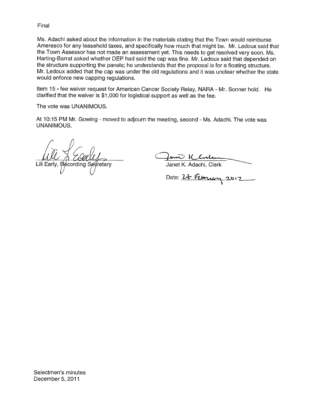Ms. Adachi asked about the information in the materials stating that the Town would reimburse Ameresco for any leasehold taxes, and specifically how much that might be. Mr. Ledoux said that the Town Assessor has not made an assessment yet. This needs to get resolved very soon. Ms. Harting-Barrat asked whether DEP had said the cap was fine. Mr. Ledoux said that depended on the structure supporting the panels; he understands that the proposal is for a floating structure. Mr. Ledoux added that the cap was under the old regulations and it was unclear whether the state would enforce new capping regulations.

Item 15 - fee waiver request for American Cancer Society Relay, NARA - Mr. Sonner hold. He clarified that the waiver is \$1,000 for logistical support as well as the fee.

The vote was UNANIMOUS.

At 10:15 PM Mr. Gowing - moved to adjourn the meeting, second - Ms. Adachi. The vote was UNANIMOUS.

Lili Early, Recording Secretary

fan Kluben Janet K. Adachi, Clerk

Date: 27 February 2012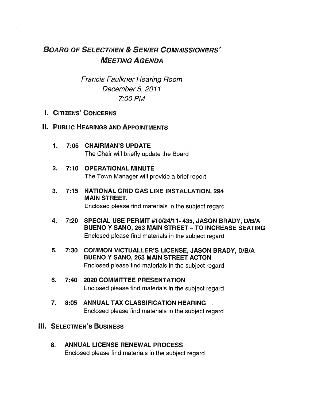# BOARD OF SELECTMEN & SEWER COMMISSIONERS' MEETING AGENDA

Francis Faulkner Hearing Room December 5, 2011 7:00 PM

# I. CITIZENS' CONCERNS

# II. PUBLIC HEARINGS AND APPOINTMENTS

- 1. 7:05 CHAIRMAN'S UPDATE The Chair will briefly update the Board
- 2. 7:10 OPERATIONAL MINUTE The Town Manager will provide a brief report
- 3. 7:15 NATIONAL GRID GAS LINE INSTALLATION, 294 MAIN STREET. Enclosed please find materials in the subject regard
- 4. 7:20 SPECIAL USE PERMIT #10/24/11- 435, JASON BRADY, D/B/A BUENO Y SANO, 263 MAIN STREET - TO INCREASE SEATING Enclosed please find materials in the subject regard
- 5. 7:30 COMMON VICTUALLER'S LICENSE, JASON BRADY, D/B/A BUENO Y SANO, 263 MAIN STREET ACTON Enclosed please find materials in the subject regard
- 6. 7:40 2020 COMMITTEE PRESENTATION Enclosed please find materials in the subject regard
- 7. 8:05 ANNUAL TAX CLASSIFICATION HEARING Enclosed please find materials in the subject regard

# III. SELECTMEN'S BUSINESS

8. ANNUAL LICENSE RENEWAL PROCESS Enclosed please find materials in the subject regard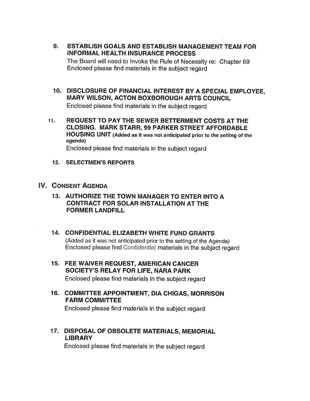- 9. ESTABLISH GOALS AND ESTABLISH MANAGEMENT TEAM FOR INFORMAL HEALTH INSURANCE PROCESS The Board will need to Invoke the Rule of Necessity re: Chapter 69 Enclosed please find materials in the subject regard
- 10. DISCLOSURE OF FINANCIAL INTEREST BY A SPECIAL EMPLOYEE, MARY WILSON, ACTON BOXBOROUGH ARTS COUNCIL Enclosed please find materials in the subject regard
- 11. REQUEST TO PAY THE SEWER BETTERMENT COSTS AT THE CLOSING. MARK STARR, 99 PARKER STREET AFFORDABLE HOUSING UNIT (Added as it was not anticipated prior to the setting of the agenda) Enclosed please find materials in the subject regard
	- 12. SELECTMEN'S REPORTS
- V. CONSENT AGENDA
	- 13. AUTHORIZE THE TOWN MANAGER TO ENTER INTO A CONTRACT FOR SOLAR INSTALLATION AT THE FORMER LANDFILL
	- 14. CONFIDENTIAL ELIZABETH WHITE FUND GRANTS (Added as it was not anticipated prior to the setting of the Agenda) Enclosed please find Confidential materials in the subject regard
	- 15. FEE WAIVER REQUEST, AMERICAN CANCER SOCIETY'S RELAY FOR LIFE, NARA PARK Enclosed please find materials in the subject regard
	- 16. COMMITTEE APPOINTMENT, DIA CHIGAS, MORRISON FARM COMMITTEE Enclosed please find materials in the subject regard
	- 17. DISPOSAL OF OBSOLETE MATERIALS, MEMORIAL LIBRARY

Enclosed please find materials in the subject regard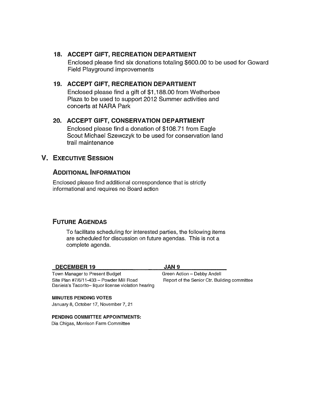# 18. ACCEPT GIFT, RECREATION DEPARTMENT

Enclosed please find six donations totaling \$600.00 to be used for Goward Field Playground improvements

# 19. ACCEPT GIFT, RECREATION DEPARTMENT

Enclosed please find a gift of \$1,188.00 from Wetherbee Plaza to be used to support 2012 Summer activities and concerts at NARA Park

### 20. ACCEPT GIFT, CONSERVATION DEPARTMENT

Enclosed please find a donation of \$108.71 from Eagle Scout Michael Szewczyk to be used for conservation land trail maintenance

# V. EXECUTIVE SESSION

# ADDITIONAL INFORMATION

Enclosed please find additional correspondence that is strictly informational and requires no Board action

# FUTURE AGENDAS

To facilitate scheduling for interested parties, the following items are scheduled for discussion on future agendas. This is not a complete agenda.

#### DECEMBER 19 JAN 9

Town Manager to Present Budget Green Action - Debby Andell Site Plan #7/6/11-433 - Powder Mill Road Report of the Senior Ctr. Building committee Daniela's Tacorito— liquor license violation hearing

MINUTES PENDING VOTES January 8, October 17, November 7, 21

#### PENDING COMMITTEE APPOINTMENTS:

Dia Chigas, Morrison Farm Committee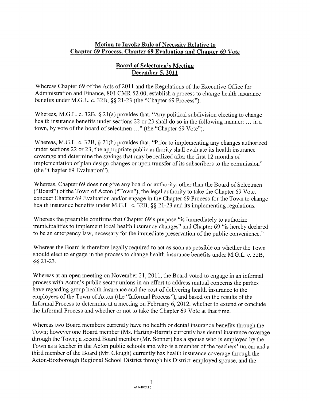### Motion to Invoke Rule of Necessity Relative to Chapter 69 Process, Chapter 69 Evaluation and Chapter 69 Vote

### Board of Selectmen's Meeting December 5, 2011

Whereas Chapter 69 of the Acts of 2011 and the Regulations of the Executive Office for Administration and Finance, 801 CMR 52.00, establish a process to change health insurance benefits under M.G.L. c. 32B, §§ 21-23 (the "Chapter 69 Process").

Whereas, M.G.L. c. 32B,  $\S 21(a)$  provides that, "Any political subdivision electing to change health insurance benefits under sections 22 or 23 shall do so in the following manner: ... in a town, by vote of the board of selectmen ..." (the "Chapter 69 Vote").

Whereas, M.G.L. c. 32B, § 21(b) provides that, "Prior to implementing any changes authorized under sections 22 or 23, the appropriate public authority shall evaluate its health insurance coverage and determine the savings that may be realized after the first 12 months of implementation of plan design changes or upon transfer of its subscribers to the commission" (the "Chapter 69 Evaluation").

Whereas, Chapter 69 does not give any board or authority, other than the Board of Selectmen ("Board") of the Town of Acton ("Town"), the legal authority to take the Chapter 69 Vote, conduct Chapter 69 Evaluation and/or engage in the Chapter 69 Process for the Town to change health insurance benefits under M.G.L. c. 32B,  $\S$  21-23 and its implementing regulations.

Whereas the preamble confirms that Chapter 69's purpose "is immediately to authorize municipalities to implement local health insurance changes" and Chapter 69 "is hereby declared to be an emergency law, necessary for the immediate preservation of the public convenience."

Whereas the Board is therefore legally required to act as soon as possible on whether the Town should elect to engage in the process to change health insurance benefits under M.G.L. c. 32B, § 21-23.

Whereas at an open meeting on November 21, 2011, the Board voted to engage in an informal process with Acton's public sector unions in an effort to address mutual concerns the parties have regarding group health insurance and the cost of delivering health insurance to the employees of the Town of Acton (the "Informal Process"), and based on the results of the Informal Process to determine at a meeting on February 6, 2012, whether to extend or conclude the Informal Process and whether or not to take the Chapter 69 Vote at that time.

Whereas two Board members currently have no health or dental insurance benefits through the Town; however one Board member (Ms. Harting-Barrat) currently has dental insurance coverage through the Town; a second Board member (Mr. Sonner) has a spouse who is employed by the Town as a teacher in the Acton public schools and who is a member of the teachers' union; and a third member of the Board (Mr. Clough) currently has health insurance coverage through the Acton-Boxborough Regional School District through his District-employed spouse, and the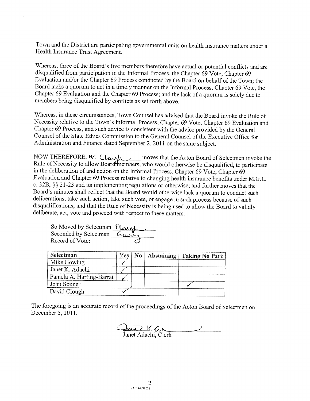Town and the District are participating governmental units on health insurance matters under <sup>a</sup> Health Insurance Trust Agreement.

Whereas, three of the Board's five members therefore have actual or potential conflicts and are disqualified from participation in the Informal Process, the Chapter <sup>69</sup> Vote, Chapter <sup>69</sup> Evaluation and/or the Chapter 69 Process conducted by the Board on behalf of the Town; the Board lacks <sup>a</sup> quorum to act in <sup>a</sup> timely manner on the Informal Process, Chapter <sup>69</sup> Vote, the Chapter <sup>69</sup> Evaluation and the Chapter <sup>69</sup> Process; and the lack of <sup>a</sup> quorum is solely due to members being disqualified by conflicts as set forth above.

Whereas, in these circumstances, Town Counsel has advised that the Board invoke the Rule of Necessity relative to the Town's Informal Process, Chapter <sup>69</sup> Vote, Chapter <sup>69</sup> Evaluation and Chapter <sup>69</sup> Process, and such advice is consistent with the advice provided by the General Counsel of the State Ethics Commission to the General Counsel of the Executive Office for Administration and Finance dated September 2, <sup>2011</sup> on the same subject.

NOW THEREFORE,  $M_1$  Clause  $\Delta$  moves that the Acton Board of Selectmen invoke the Rule of Necessity to allow Board members, who would otherwise be disqualified, to participate in the deliberation of and action on the Informal Process, Chapter <sup>69</sup> Vote, Chapter <sup>69</sup> Evaluation and Chapter <sup>69</sup> Process relative to changing health insurance benefits under M.G.L. c. 32B, § <sup>2</sup> 1-23 and its implementing regulations or otherwise; and further moves that the Board's minutes shall reflect that the Board would otherwise lack <sup>a</sup> quorum to conduct such deliberations, take such action, take such vote, or engage in such process because of such disqualifications, and that the Rule of Necessity is being used to allow the Board to validly deliberate, act, vote and proceed with respect to these matters.

re, act, vote and proceed with respect<br>So Moved by Selectman **Classifical**<br>Seconded by Selectman Gusico Record of Vote:

| Selectman                | Yes | $\mathbb{N}$ 0 | Abstaining | <b>Taking No Part</b> |
|--------------------------|-----|----------------|------------|-----------------------|
| Mike Gowing              |     |                |            |                       |
| Janet K. Adachi          |     |                |            |                       |
| Pamela A. Harting-Barrat |     |                |            |                       |
| John Sonner              |     |                |            |                       |
| David Clough             |     |                |            |                       |

The foregoing is an accurate record of the proceedings of the Acton Board of Selectmen on December 5, 2011.

<u>Inico ICC.</u>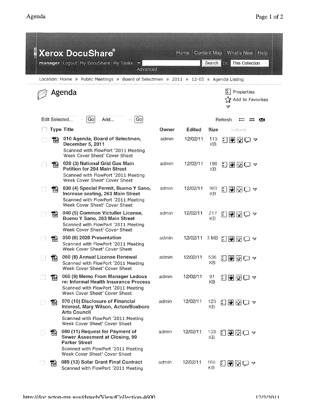|   |   | <b>Xerox DocuShare</b> ®<br>manager Logout My DocuShare My Tasks<br>Advanced                                                                                            |       | <b>Home</b>   |             |               | Content Map   What's New   Help<br>Search <b>Inst</b> This Collection |    |
|---|---|-------------------------------------------------------------------------------------------------------------------------------------------------------------------------|-------|---------------|-------------|---------------|-----------------------------------------------------------------------|----|
|   |   | Location: Home » Public Meetings » Board of Selectmen » 2011 » 12-05 » Agenda Listing                                                                                   |       |               |             |               |                                                                       |    |
|   |   | Agenda                                                                                                                                                                  |       |               |             | $\bm{\nabla}$ | $ T $ Properties<br>Add to Favorites                                  |    |
|   |   | Edit Selected<br>Go<br> Go <br>Add                                                                                                                                      |       |               |             | Refresh       |                                                                       | ÞК |
|   |   | <b>Type Title</b>                                                                                                                                                       | Owner | Edited        | <b>Size</b> |               | Actions                                                               |    |
|   | 品 | 010 Agenda, Board of Selectmen,<br>December 5, 2011<br>Scanned with FlowPort '2011 Meeting<br>Week Cover Sheet' Cover Sheet                                             | admin | 12/02/11      | 113<br>KB   | 囗             |                                                                       |    |
|   | 恸 | 020 (3) National Grid Gas Main<br>Petition for 294 Main Street<br>Scanned with FlowPort '2011 Meeting<br>Week Cover Sheet' Cover Sheet                                  | admin | 12/02/11      | 196<br>KB   |               | ⊡ඔ⊠©⊽                                                                 |    |
|   | 閊 | 030 (4) Special Permit, Bueno Y Sano,<br>Increase seating, 263 Main Street<br>Scanned with FlowPort '2011 Meeting<br>Week Cover Sheet' Cover Sheet                      | admin | 12/02/11      | 903<br>KB   |               | k den a                                                               |    |
|   | 丽 | 040 (5) Common Victuller License,<br>Bueno Y Sano, 263 Main Street<br>Scanned with FlowPort '2011 Meeting<br>Week Cover Sheet' Cover Sheet                              | admin | 12/02/11      | 212<br>КB   |               | <b>RIGRA</b>                                                          |    |
|   | 恸 | 050 (6) 2020 Presentation<br>Scanned with FlowPort '2011 Meeting<br>Week Cover Sheet' Cover Sheet                                                                       | admin | 12/02/11 3 MB |             |               | <b>Ω图图门 ×</b>                                                         |    |
| Ш | 큡 | 060 (8) Annual License Renewal<br>Scanned with FlowPort '2011 Meeting<br>Week Cover Sheet' Cover Sheet                                                                  | admin | 12/02/11      | КB          |               | $536$ 20000                                                           |    |
|   | 罰 | 060 (9) Memo From Manager Ledoux<br>re: Informal Health Insurance Process<br>Scanned with FlowPort '2011 Meeting<br>Week Cover Sheet' Cover Sheet                       | admin | 12/02/11      | 91<br>ΚB    |               | 网图图画区                                                                 |    |
| Ð | 뛂 | 070 (10) Disclosure of Financial<br>Interest, Mary Wilson, Acton/Boxboro<br><b>Arts Council</b><br>Scanned with FlowPort '2011 Meeting<br>Week Cover Sheet' Cover Sheet | admin | 12/02/11      | 123<br>KΒ   |               | 200⊙ ⊽                                                                |    |
| Ð | 퍠 | 080 (11) Request for Payment of<br>Sewer Assesment at Closing, 99<br><b>Parker Street</b><br>Scanned with FlowPort '2011 Meeting<br>Week Cover Sheet' Cover Sheet       | admin | 12/02/11      | 153.<br>ΚB  |               | ଯ®⊠ଘ ∆                                                                |    |
|   | 吊 | 085 (13) Solar Grant Final Contract<br>Scanned with FlowPort '2011 Meeting                                                                                              | admin | 12/02/11      | 168<br>KВ   |               | 国国图ロュ                                                                 |    |